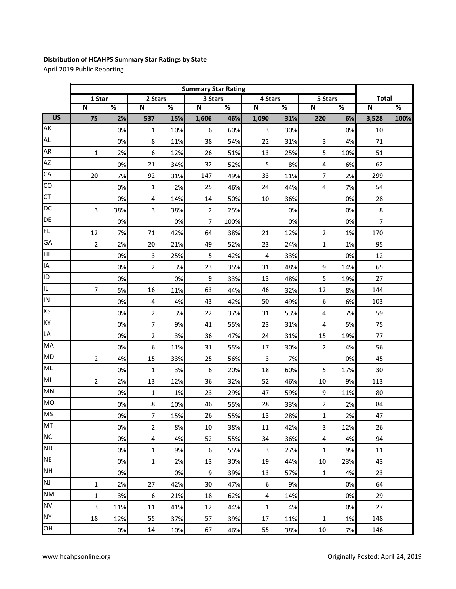## **Distribution of HCAHPS Summary Star Ratings by State**

April 2019 Public Reporting

|                 | <b>Summary Star Rating</b> |     |                         |     |                         |      |                |     |                         |     |                         |      |
|-----------------|----------------------------|-----|-------------------------|-----|-------------------------|------|----------------|-----|-------------------------|-----|-------------------------|------|
|                 | 1 Star                     |     | 2 Stars                 |     | 3 Stars                 |      | 4 Stars        |     | 5 Stars                 |     | <b>Total</b>            |      |
|                 | $\overline{\mathsf{N}}$    | %   | N                       | %   | $\overline{\mathsf{N}}$ | %    | N              | %   | $\overline{\mathsf{N}}$ | %   | $\overline{\mathsf{N}}$ | %    |
| $\overline{US}$ | 75                         | 2%  | 537                     | 15% | 1,606                   | 46%  | 1,090          | 31% | 220                     | 6%  | 3,528                   | 100% |
| AK              |                            | 0%  | $\mathbf 1$             | 10% | 6                       | 60%  | 3              | 30% |                         | 0%  | 10                      |      |
| <b>AL</b>       |                            | 0%  | 8                       | 11% | 38                      | 54%  | 22             | 31% | 3                       | 4%  | 71                      |      |
| <b>AR</b>       | $\mathbf{1}$               | 2%  | 6                       | 12% | 26                      | 51%  | 13             | 25% | 5                       | 10% | 51                      |      |
| <b>AZ</b>       |                            | 0%  | 21                      | 34% | 32                      | 52%  | 5              | 8%  | 4                       | 6%  | 62                      |      |
| CA              | 20                         | 7%  | 92                      | 31% | 147                     | 49%  | 33             | 11% | 7                       | 2%  | 299                     |      |
| CO              |                            | 0%  | $\mathbf 1$             | 2%  | 25                      | 46%  | 24             | 44% | 4                       | 7%  | 54                      |      |
| <b>CT</b>       |                            | 0%  | 4                       | 14% | 14                      | 50%  | 10             | 36% |                         | 0%  | 28                      |      |
| DC              | 3                          | 38% | 3                       | 38% | $\overline{2}$          | 25%  |                | 0%  |                         | 0%  | 8                       |      |
| DE              |                            | 0%  |                         | 0%  | $\overline{7}$          | 100% |                | 0%  |                         | 0%  | $\overline{7}$          |      |
| FL              | 12                         | 7%  | 71                      | 42% | 64                      | 38%  | 21             | 12% | $\overline{c}$          | 1%  | 170                     |      |
| GA              | $\overline{2}$             | 2%  | 20                      | 21% | 49                      | 52%  | 23             | 24% | $\mathbf 1$             | 1%  | 95                      |      |
| НI              |                            | 0%  | 3                       | 25% | 5                       | 42%  | $\overline{4}$ | 33% |                         | 0%  | 12                      |      |
| IA              |                            | 0%  | $\overline{c}$          | 3%  | 23                      | 35%  | 31             | 48% | 9                       | 14% | 65                      |      |
| ID              |                            | 0%  |                         | 0%  | 9                       | 33%  | 13             | 48% | 5                       | 19% | 27                      |      |
| IL.             | $\overline{7}$             | 5%  | 16                      | 11% | 63                      | 44%  | 46             | 32% | 12                      | 8%  | 144                     |      |
| IN              |                            | 0%  | 4                       | 4%  | 43                      | 42%  | 50             | 49% | 6                       | 6%  | 103                     |      |
| KS              |                            | 0%  | $\overline{\mathbf{c}}$ | 3%  | 22                      | 37%  | 31             | 53% | 4                       | 7%  | 59                      |      |
| KY              |                            | 0%  | 7                       | 9%  | 41                      | 55%  | 23             | 31% | 4                       | 5%  | 75                      |      |
| LA              |                            | 0%  | $\overline{\mathbf{c}}$ | 3%  | 36                      | 47%  | 24             | 31% | 15                      | 19% | 77                      |      |
| MA              |                            | 0%  | 6                       | 11% | 31                      | 55%  | 17             | 30% | $\overline{c}$          | 4%  | 56                      |      |
| <b>MD</b>       | $\overline{2}$             | 4%  | 15                      | 33% | 25                      | 56%  | 3              | 7%  |                         | 0%  | 45                      |      |
| <b>ME</b>       |                            | 0%  | $\mathbf 1$             | 3%  | $\boldsymbol{6}$        | 20%  | 18             | 60% | 5                       | 17% | 30                      |      |
| MI              | $\overline{2}$             | 2%  | 13                      | 12% | 36                      | 32%  | 52             | 46% | 10                      | 9%  | 113                     |      |
| MN              |                            | 0%  | 1                       | 1%  | 23                      | 29%  | 47             | 59% | 9                       | 11% | 80                      |      |
| <b>MO</b>       |                            | 0%  | 8                       | 10% | 46                      | 55%  | 28             | 33% | $\overline{\mathbf{c}}$ | 2%  | 84                      |      |
| <b>MS</b>       |                            | 0%  | $\overline{7}$          | 15% | 26                      | 55%  | 13             | 28% | $\mathbf 1$             | 2%  | 47                      |      |
| MT              |                            | 0%  | 2                       | 8%  | 10                      | 38%  | 11             | 42% | 3                       | 12% | 26                      |      |
| <b>NC</b>       |                            | 0%  | 4                       | 4%  | 52                      | 55%  | 34             | 36% | $\overline{4}$          | 4%  | 94                      |      |
| <b>ND</b>       |                            | 0%  | 1                       | 9%  | $6\,$                   | 55%  | $\overline{3}$ | 27% | $\mathbf 1$             | 9%  | 11                      |      |
| <b>NE</b>       |                            | 0%  | 1                       | 2%  | 13                      | 30%  | 19             | 44% | 10                      | 23% | 43                      |      |
| <b>NH</b>       |                            | 0%  |                         | 0%  | $\overline{9}$          | 39%  | 13             | 57% | $\mathbf{1}$            | 4%  | 23                      |      |
| NJ              | 1                          | 2%  | 27                      | 42% | 30                      | 47%  | 6              | 9%  |                         | 0%  | 64                      |      |
| <b>NM</b>       | $\mathbf{1}$               | 3%  | 6                       | 21% | 18                      | 62%  | 4              | 14% |                         | 0%  | 29                      |      |
| <b>NV</b>       | 3                          | 11% | 11                      | 41% | 12                      | 44%  | $\mathbf{1}$   | 4%  |                         | 0%  | 27                      |      |
| <b>NY</b>       | 18                         | 12% | 55                      | 37% | 57                      | 39%  | 17             | 11% | 1                       | 1%  | 148                     |      |
| OH              |                            | 0%  | 14                      | 10% | 67                      | 46%  | 55             | 38% | 10                      | 7%  | 146                     |      |